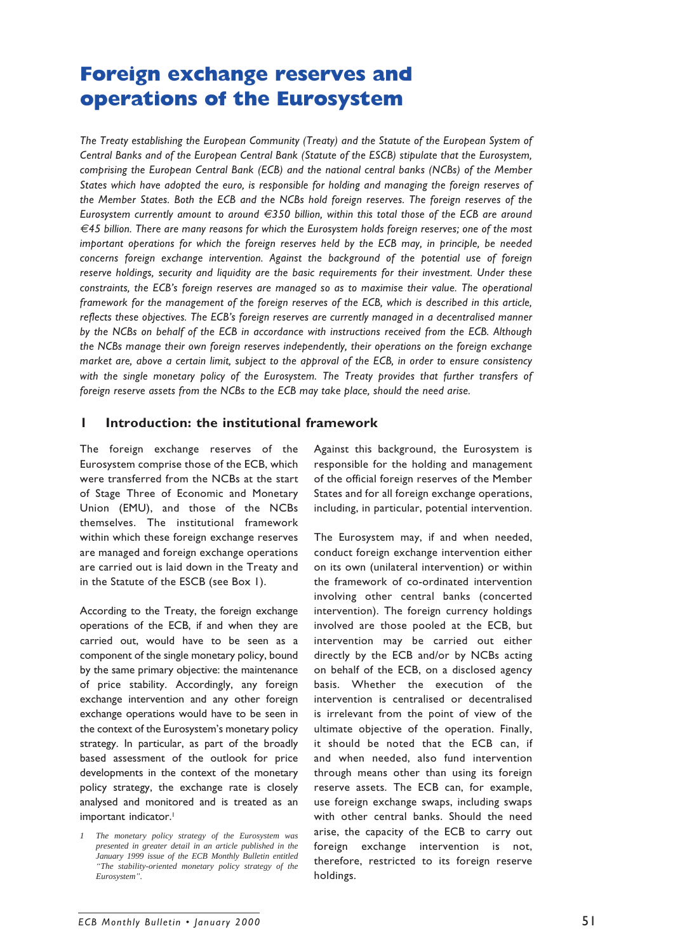# **Foreign exchange reserves and operations of the Eurosystem**

*The Treaty establishing the European Community (Treaty) and the Statute of the European System of Central Banks and of the European Central Bank (Statute of the ESCB) stipulate that the Eurosystem, comprising the European Central Bank (ECB) and the national central banks (NCBs) of the Member States which have adopted the euro, is responsible for holding and managing the foreign reserves of the Member States. Both the ECB and the NCBs hold foreign reserves. The foreign reserves of the Eurosystem currently amount to around €350 billion, within this total those of the ECB are around €45 billion. There are many reasons for which the Eurosystem holds foreign reserves; one of the most important operations for which the foreign reserves held by the ECB may, in principle, be needed concerns foreign exchange intervention. Against the background of the potential use of foreign reserve holdings, security and liquidity are the basic requirements for their investment. Under these constraints, the ECB's foreign reserves are managed so as to maximise their value. The operational framework for the management of the foreign reserves of the ECB, which is described in this article, reflects these objectives. The ECB's foreign reserves are currently managed in a decentralised manner by the NCBs on behalf of the ECB in accordance with instructions received from the ECB. Although the NCBs manage their own foreign reserves independently, their operations on the foreign exchange market are, above a certain limit, subject to the approval of the ECB, in order to ensure consistency with the single monetary policy of the Eurosystem. The Treaty provides that further transfers of foreign reserve assets from the NCBs to the ECB may take place, should the need arise.*

# **1 Introduction: the institutional framework**

The foreign exchange reserves of the Eurosystem comprise those of the ECB, which were transferred from the NCBs at the start of Stage Three of Economic and Monetary Union (EMU), and those of the NCBs themselves. The institutional framework within which these foreign exchange reserves are managed and foreign exchange operations are carried out is laid down in the Treaty and in the Statute of the ESCB (see Box 1).

According to the Treaty, the foreign exchange operations of the ECB, if and when they are carried out, would have to be seen as a component of the single monetary policy, bound by the same primary objective: the maintenance of price stability. Accordingly, any foreign exchange intervention and any other foreign exchange operations would have to be seen in the context of the Eurosystem's monetary policy strategy. In particular, as part of the broadly based assessment of the outlook for price developments in the context of the monetary policy strategy, the exchange rate is closely analysed and monitored and is treated as an important indicator.<sup>1</sup>

Against this background, the Eurosystem is responsible for the holding and management of the official foreign reserves of the Member States and for all foreign exchange operations, including, in particular, potential intervention.

The Eurosystem may, if and when needed, conduct foreign exchange intervention either on its own (unilateral intervention) or within the framework of co-ordinated intervention involving other central banks (concerted intervention). The foreign currency holdings involved are those pooled at the ECB, but intervention may be carried out either directly by the ECB and/or by NCBs acting on behalf of the ECB, on a disclosed agency basis. Whether the execution of the intervention is centralised or decentralised is irrelevant from the point of view of the ultimate objective of the operation. Finally, it should be noted that the ECB can, if and when needed, also fund intervention through means other than using its foreign reserve assets. The ECB can, for example, use foreign exchange swaps, including swaps with other central banks. Should the need arise, the capacity of the ECB to carry out foreign exchange intervention is not, therefore, restricted to its foreign reserve holdings.

*<sup>1</sup> The monetary policy strategy of the Eurosystem was presented in greater detail in an article published in the January 1999 issue of the ECB Monthly Bulletin entitled "The stability-oriented monetary policy strategy of the Eurosystem".*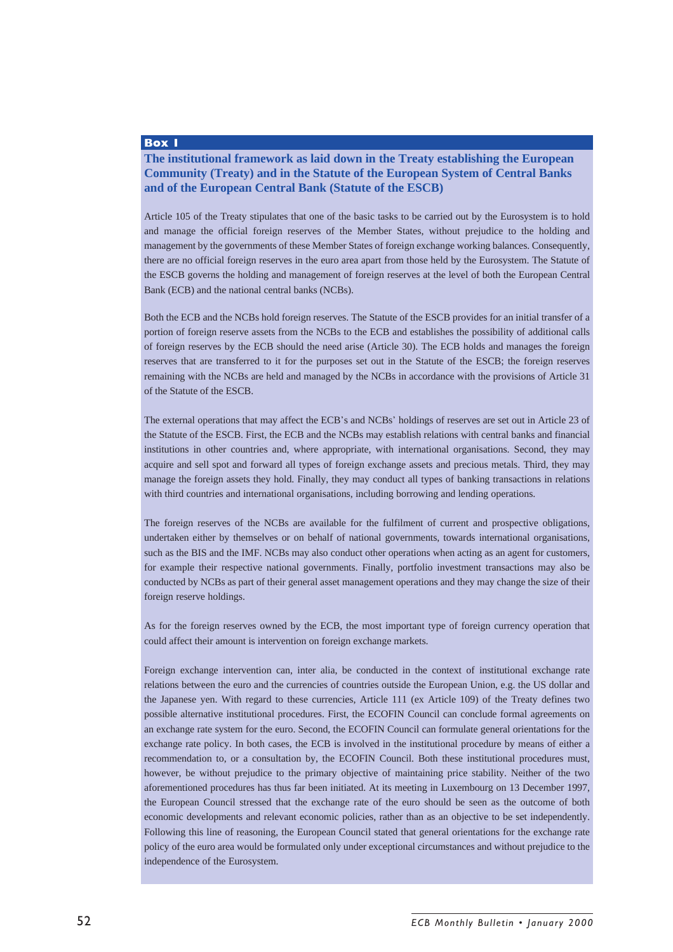#### **Box 1**

# **The institutional framework as laid down in the Treaty establishing the European Community (Treaty) and in the Statute of the European System of Central Banks and of the European Central Bank (Statute of the ESCB)**

Article 105 of the Treaty stipulates that one of the basic tasks to be carried out by the Eurosystem is to hold and manage the official foreign reserves of the Member States, without prejudice to the holding and management by the governments of these Member States of foreign exchange working balances. Consequently, there are no official foreign reserves in the euro area apart from those held by the Eurosystem. The Statute of the ESCB governs the holding and management of foreign reserves at the level of both the European Central Bank (ECB) and the national central banks (NCBs).

Both the ECB and the NCBs hold foreign reserves. The Statute of the ESCB provides for an initial transfer of a portion of foreign reserve assets from the NCBs to the ECB and establishes the possibility of additional calls of foreign reserves by the ECB should the need arise (Article 30). The ECB holds and manages the foreign reserves that are transferred to it for the purposes set out in the Statute of the ESCB; the foreign reserves remaining with the NCBs are held and managed by the NCBs in accordance with the provisions of Article 31 of the Statute of the ESCB.

The external operations that may affect the ECB's and NCBs' holdings of reserves are set out in Article 23 of the Statute of the ESCB. First, the ECB and the NCBs may establish relations with central banks and financial institutions in other countries and, where appropriate, with international organisations. Second, they may acquire and sell spot and forward all types of foreign exchange assets and precious metals. Third, they may manage the foreign assets they hold. Finally, they may conduct all types of banking transactions in relations with third countries and international organisations, including borrowing and lending operations.

The foreign reserves of the NCBs are available for the fulfilment of current and prospective obligations, undertaken either by themselves or on behalf of national governments, towards international organisations, such as the BIS and the IMF. NCBs may also conduct other operations when acting as an agent for customers, for example their respective national governments. Finally, portfolio investment transactions may also be conducted by NCBs as part of their general asset management operations and they may change the size of their foreign reserve holdings.

As for the foreign reserves owned by the ECB, the most important type of foreign currency operation that could affect their amount is intervention on foreign exchange markets.

Foreign exchange intervention can, inter alia, be conducted in the context of institutional exchange rate relations between the euro and the currencies of countries outside the European Union, e.g. the US dollar and the Japanese yen. With regard to these currencies, Article 111 (ex Article 109) of the Treaty defines two possible alternative institutional procedures. First, the ECOFIN Council can conclude formal agreements on an exchange rate system for the euro. Second, the ECOFIN Council can formulate general orientations for the exchange rate policy. In both cases, the ECB is involved in the institutional procedure by means of either a recommendation to, or a consultation by, the ECOFIN Council. Both these institutional procedures must, however, be without prejudice to the primary objective of maintaining price stability. Neither of the two aforementioned procedures has thus far been initiated. At its meeting in Luxembourg on 13 December 1997, the European Council stressed that the exchange rate of the euro should be seen as the outcome of both economic developments and relevant economic policies, rather than as an objective to be set independently. Following this line of reasoning, the European Council stated that general orientations for the exchange rate policy of the euro area would be formulated only under exceptional circumstances and without prejudice to the independence of the Eurosystem.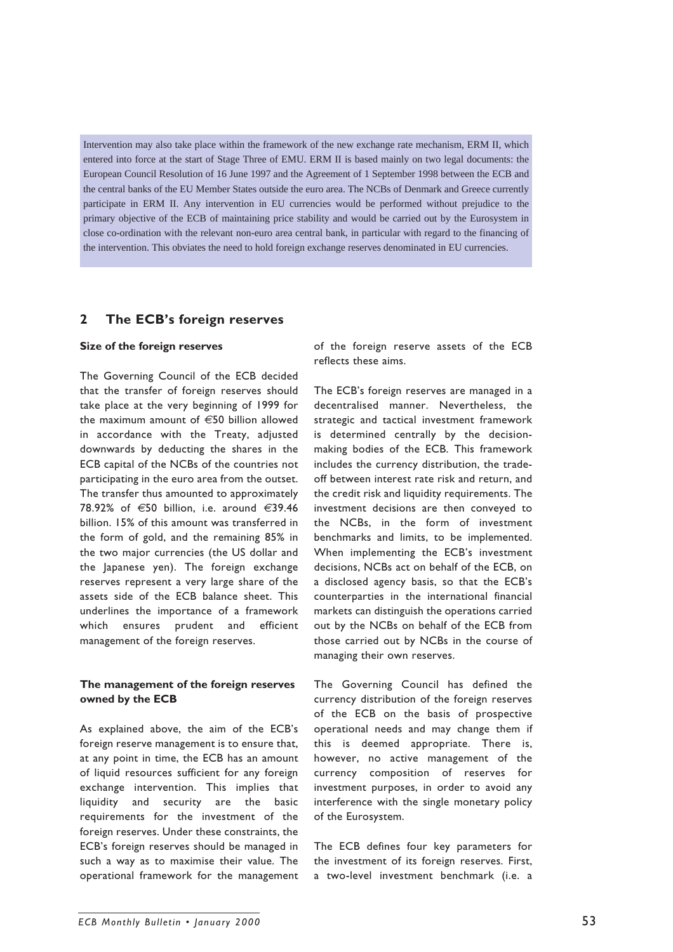Intervention may also take place within the framework of the new exchange rate mechanism, ERM II, which entered into force at the start of Stage Three of EMU. ERM II is based mainly on two legal documents: the European Council Resolution of 16 June 1997 and the Agreement of 1 September 1998 between the ECB and the central banks of the EU Member States outside the euro area. The NCBs of Denmark and Greece currently participate in ERM II. Any intervention in EU currencies would be performed without prejudice to the primary objective of the ECB of maintaining price stability and would be carried out by the Eurosystem in close co-ordination with the relevant non-euro area central bank, in particular with regard to the financing of the intervention. This obviates the need to hold foreign exchange reserves denominated in EU currencies.

## **2 The ECB's foreign reserves**

#### **Size of the foreign reserves**

The Governing Council of the ECB decided that the transfer of foreign reserves should take place at the very beginning of 1999 for the maximum amount of *€*50 billion allowed in accordance with the Treaty, adjusted downwards by deducting the shares in the ECB capital of the NCBs of the countries not participating in the euro area from the outset. The transfer thus amounted to approximately 78.92% of *€*50 billion, i.e. around *€*39.46 billion. 15% of this amount was transferred in the form of gold, and the remaining 85% in the two major currencies (the US dollar and the Japanese yen). The foreign exchange reserves represent a very large share of the assets side of the ECB balance sheet. This underlines the importance of a framework which ensures prudent and efficient management of the foreign reserves.

### **The management of the foreign reserves owned by the ECB**

As explained above, the aim of the ECB's foreign reserve management is to ensure that, at any point in time, the ECB has an amount of liquid resources sufficient for any foreign exchange intervention. This implies that liquidity and security are the basic requirements for the investment of the foreign reserves. Under these constraints, the ECB's foreign reserves should be managed in such a way as to maximise their value. The operational framework for the management of the foreign reserve assets of the ECB reflects these aims.

The ECB's foreign reserves are managed in a decentralised manner. Nevertheless, the strategic and tactical investment framework is determined centrally by the decisionmaking bodies of the ECB. This framework includes the currency distribution, the tradeoff between interest rate risk and return, and the credit risk and liquidity requirements. The investment decisions are then conveyed to the NCBs, in the form of investment benchmarks and limits, to be implemented. When implementing the ECB's investment decisions, NCBs act on behalf of the ECB, on a disclosed agency basis, so that the ECB's counterparties in the international financial markets can distinguish the operations carried out by the NCBs on behalf of the ECB from those carried out by NCBs in the course of managing their own reserves.

The Governing Council has defined the currency distribution of the foreign reserves of the ECB on the basis of prospective operational needs and may change them if this is deemed appropriate. There is, however, no active management of the currency composition of reserves for investment purposes, in order to avoid any interference with the single monetary policy of the Eurosystem.

The ECB defines four key parameters for the investment of its foreign reserves. First, a two-level investment benchmark (i.e. a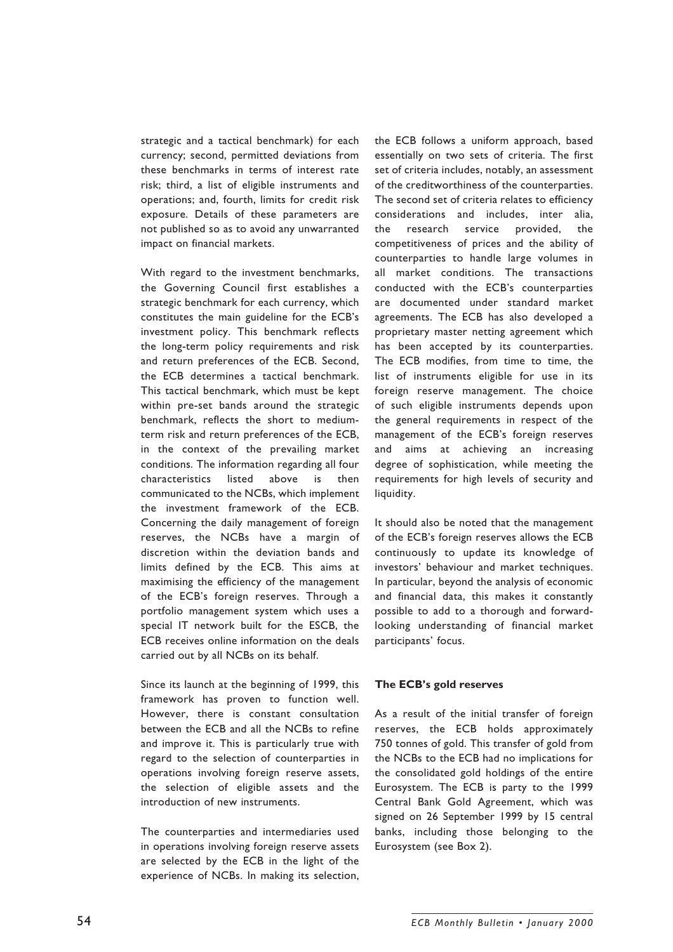strategic and a tactical benchmark) for each currency; second, permitted deviations from these benchmarks in terms of interest rate risk; third, a list of eligible instruments and operations; and, fourth, limits for credit risk exposure. Details of these parameters are not published so as to avoid any unwarranted impact on financial markets.

With regard to the investment benchmarks, the Governing Council first establishes a strategic benchmark for each currency, which constitutes the main guideline for the ECB's investment policy. This benchmark reflects the long-term policy requirements and risk and return preferences of the ECB. Second, the ECB determines a tactical benchmark. This tactical benchmark, which must be kept within pre-set bands around the strategic benchmark, reflects the short to mediumterm risk and return preferences of the ECB, in the context of the prevailing market conditions. The information regarding all four characteristics listed above is then communicated to the NCBs, which implement the investment framework of the ECB. Concerning the daily management of foreign reserves, the NCBs have a margin of discretion within the deviation bands and limits defined by the ECB. This aims at maximising the efficiency of the management of the ECB's foreign reserves. Through a portfolio management system which uses a special IT network built for the ESCB, the ECB receives online information on the deals carried out by all NCBs on its behalf.

Since its launch at the beginning of 1999, this framework has proven to function well. However, there is constant consultation between the ECB and all the NCBs to refine and improve it. This is particularly true with regard to the selection of counterparties in operations involving foreign reserve assets, the selection of eligible assets and the introduction of new instruments.

The counterparties and intermediaries used in operations involving foreign reserve assets are selected by the ECB in the light of the experience of NCBs. In making its selection,

the ECB follows a uniform approach, based essentially on two sets of criteria. The first set of criteria includes, notably, an assessment of the creditworthiness of the counterparties. The second set of criteria relates to efficiency considerations and includes, inter alia, the research service provided, the competitiveness of prices and the ability of counterparties to handle large volumes in all market conditions. The transactions conducted with the ECB's counterparties are documented under standard market agreements. The ECB has also developed a proprietary master netting agreement which has been accepted by its counterparties. The ECB modifies, from time to time, the list of instruments eligible for use in its foreign reserve management. The choice of such eligible instruments depends upon the general requirements in respect of the management of the ECB's foreign reserves and aims at achieving an increasing degree of sophistication, while meeting the requirements for high levels of security and liquidity.

It should also be noted that the management of the ECB's foreign reserves allows the ECB continuously to update its knowledge of investors' behaviour and market techniques. In particular, beyond the analysis of economic and financial data, this makes it constantly possible to add to a thorough and forwardlooking understanding of financial market participants' focus.

#### **The ECB's gold reserves**

As a result of the initial transfer of foreign reserves, the ECB holds approximately 750 tonnes of gold. This transfer of gold from the NCBs to the ECB had no implications for the consolidated gold holdings of the entire Eurosystem. The ECB is party to the 1999 Central Bank Gold Agreement, which was signed on 26 September 1999 by 15 central banks, including those belonging to the Eurosystem (see Box 2).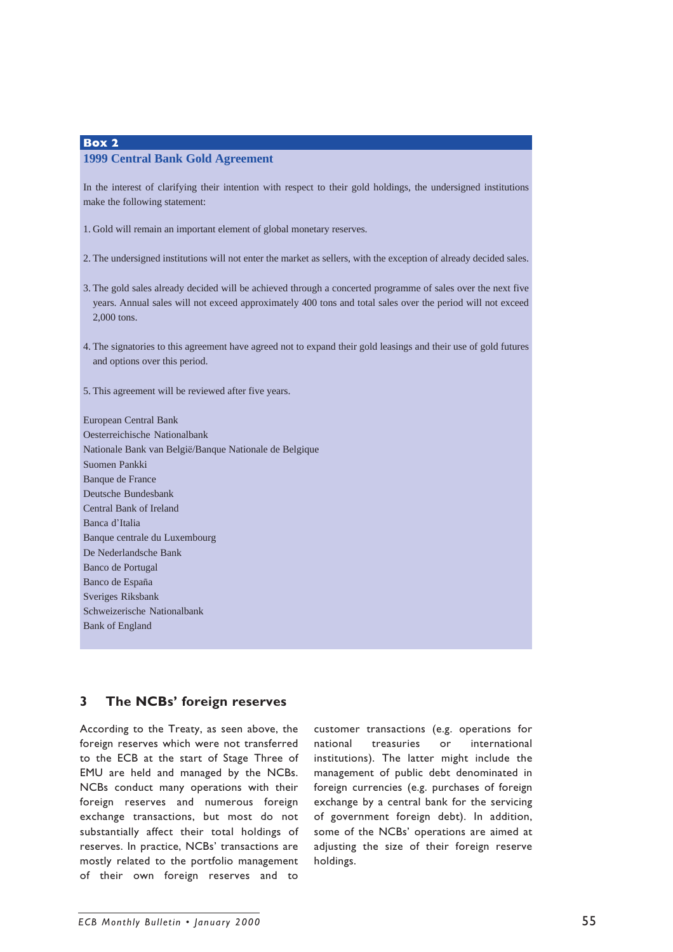## **Box 2 1999 Central Bank Gold Agreement**

In the interest of clarifying their intention with respect to their gold holdings, the undersigned institutions make the following statement:

1. Gold will remain an important element of global monetary reserves.

2. The undersigned institutions will not enter the market as sellers, with the exception of already decided sales.

- 3. The gold sales already decided will be achieved through a concerted programme of sales over the next five years. Annual sales will not exceed approximately 400 tons and total sales over the period will not exceed 2,000 tons.
- 4. The signatories to this agreement have agreed not to expand their gold leasings and their use of gold futures and options over this period.
- 5. This agreement will be reviewed after five years.

European Central Bank Oesterreichische Nationalbank Nationale Bank van België/Banque Nationale de Belgique Suomen Pankki Banque de France Deutsche Bundesbank Central Bank of Ireland Banca d'Italia Banque centrale du Luxembourg De Nederlandsche Bank Banco de Portugal Banco de España Sveriges Riksbank Schweizerische Nationalbank Bank of England

# **3 The NCBs' foreign reserves**

According to the Treaty, as seen above, the foreign reserves which were not transferred to the ECB at the start of Stage Three of EMU are held and managed by the NCBs. NCBs conduct many operations with their foreign reserves and numerous foreign exchange transactions, but most do not substantially affect their total holdings of reserves. In practice, NCBs' transactions are mostly related to the portfolio management of their own foreign reserves and to

customer transactions (e.g. operations for national treasuries or international institutions). The latter might include the management of public debt denominated in foreign currencies (e.g. purchases of foreign exchange by a central bank for the servicing of government foreign debt). In addition, some of the NCBs' operations are aimed at adjusting the size of their foreign reserve holdings.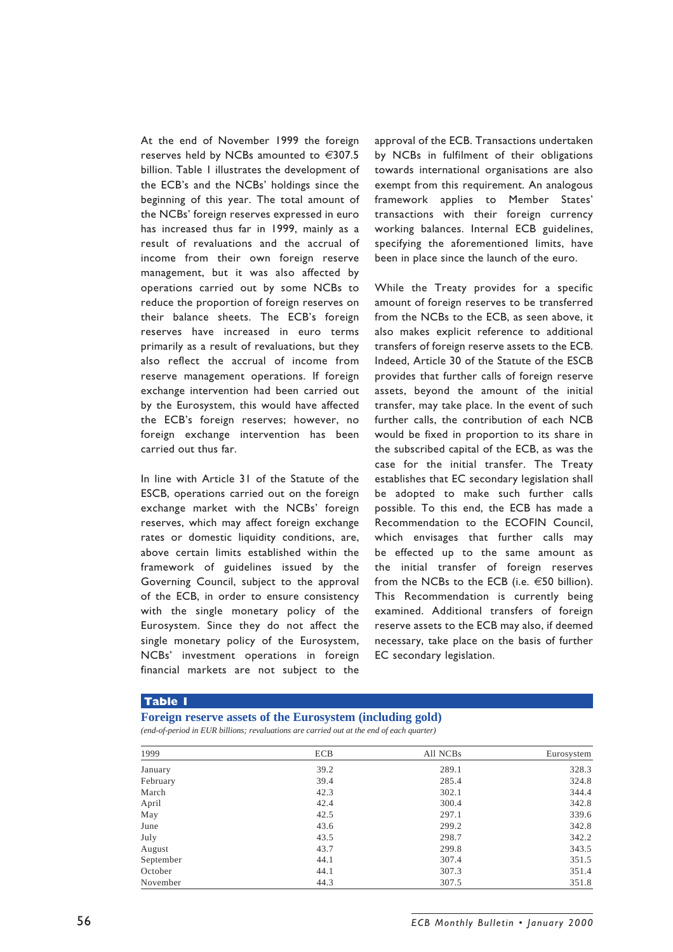At the end of November 1999 the foreign reserves held by NCBs amounted to *€*307.5 billion. Table 1 illustrates the development of the ECB's and the NCBs' holdings since the beginning of this year. The total amount of the NCBs' foreign reserves expressed in euro has increased thus far in 1999, mainly as a result of revaluations and the accrual of income from their own foreign reserve management, but it was also affected by operations carried out by some NCBs to reduce the proportion of foreign reserves on their balance sheets. The ECB's foreign reserves have increased in euro terms primarily as a result of revaluations, but they also reflect the accrual of income from reserve management operations. If foreign exchange intervention had been carried out by the Eurosystem, this would have affected the ECB's foreign reserves; however, no foreign exchange intervention has been carried out thus far.

In line with Article 31 of the Statute of the ESCB, operations carried out on the foreign exchange market with the NCBs' foreign reserves, which may affect foreign exchange rates or domestic liquidity conditions, are, above certain limits established within the framework of guidelines issued by the Governing Council, subject to the approval of the ECB, in order to ensure consistency with the single monetary policy of the Eurosystem. Since they do not affect the single monetary policy of the Eurosystem, NCBs' investment operations in foreign financial markets are not subject to the

approval of the ECB. Transactions undertaken by NCBs in fulfilment of their obligations towards international organisations are also exempt from this requirement. An analogous framework applies to Member States' transactions with their foreign currency working balances. Internal ECB guidelines, specifying the aforementioned limits, have been in place since the launch of the euro.

While the Treaty provides for a specific amount of foreign reserves to be transferred from the NCBs to the ECB, as seen above, it also makes explicit reference to additional transfers of foreign reserve assets to the ECB. Indeed, Article 30 of the Statute of the ESCB provides that further calls of foreign reserve assets, beyond the amount of the initial transfer, may take place. In the event of such further calls, the contribution of each NCB would be fixed in proportion to its share in the subscribed capital of the ECB, as was the case for the initial transfer. The Treaty establishes that EC secondary legislation shall be adopted to make such further calls possible. To this end, the ECB has made a Recommendation to the ECOFIN Council, which envisages that further calls may be effected up to the same amount as the initial transfer of foreign reserves from the NCBs to the ECB (i.e. *€*50 billion). This Recommendation is currently being examined. Additional transfers of foreign reserve assets to the ECB may also, if deemed necessary, take place on the basis of further EC secondary legislation.

#### **Table 1**

## **Foreign reserve assets of the Eurosystem (including gold)**

*(end-of-period in EUR billions; revaluations are carried out at the end of each quarter)*

| 1999      | <b>ECB</b> | All NCBs | Eurosystem |
|-----------|------------|----------|------------|
| January   | 39.2       | 289.1    | 328.3      |
| February  | 39.4       | 285.4    | 324.8      |
| March     | 42.3       | 302.1    | 344.4      |
| April     | 42.4       | 300.4    | 342.8      |
| May       | 42.5       | 297.1    | 339.6      |
| June      | 43.6       | 299.2    | 342.8      |
| July      | 43.5       | 298.7    | 342.2      |
| August    | 43.7       | 299.8    | 343.5      |
| September | 44.1       | 307.4    | 351.5      |
| October   | 44.1       | 307.3    | 351.4      |
| November  | 44.3       | 307.5    | 351.8      |